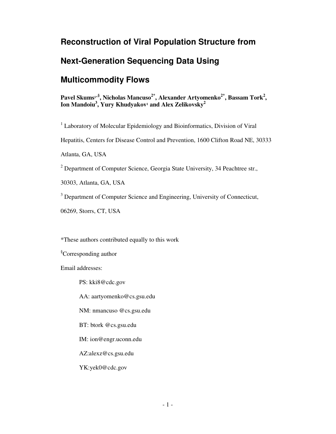### **Reconstruction of Viral Population Structure from**

## **Next-Generation Sequencing Data Using**

## **Multicommodity Flows**

**Pavel Skums1\*§ , Nicholas Mancuso2\*, Alexander Artyomenko2\*, Bassam Tork<sup>2</sup> , Ion Mandoiu<sup>3</sup> , Yury Khudyakov<sup>1</sup> and Alex Zelikovsky<sup>2</sup>**

<sup>1</sup> Laboratory of Molecular Epidemiology and Bioinformatics, Division of Viral

Hepatitis, Centers for Disease Control and Prevention, 1600 Clifton Road NE, 30333

Atlanta, GA, USA

<sup>2</sup> Department of Computer Science, Georgia State University, 34 Peachtree str.,

30303, Atlanta, GA, USA

<sup>3</sup> Department of Computer Science and Engineering, University of Connecticut,

06269, Storrs, CT, USA

\*These authors contributed equally to this work

§Corresponding author

Email addresses:

PS: kki8@cdc.gov

AA: aartyomenko@cs.gsu.edu

NM: nmancuso @cs.gsu.edu

BT: btork @cs.gsu.edu

IM: ion@engr.uconn.edu

AZ:alexz@cs.gsu.edu

YK:yek0@cdc.gov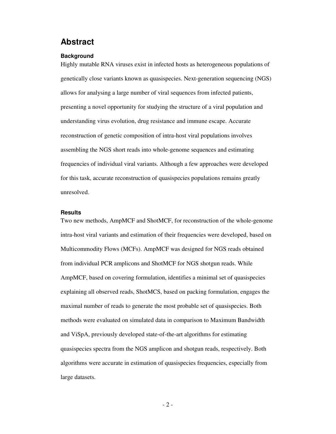### **Abstract**

#### **Background**

Highly mutable RNA viruses exist in infected hosts as heterogeneous populations of genetically close variants known as quasispecies. Next-generation sequencing (NGS) allows for analysing a large number of viral sequences from infected patients, presenting a novel opportunity for studying the structure of a viral population and understanding virus evolution, drug resistance and immune escape. Accurate reconstruction of genetic composition of intra-host viral populations involves assembling the NGS short reads into whole-genome sequences and estimating frequencies of individual viral variants. Although a few approaches were developed for this task, accurate reconstruction of quasispecies populations remains greatly unresolved.

#### **Results**

Two new methods, AmpMCF and ShotMCF, for reconstruction of the whole-genome intra-host viral variants and estimation of their frequencies were developed, based on Multicommodity Flows (MCFs). AmpMCF was designed for NGS reads obtained from individual PCR amplicons and ShotMCF for NGS shotgun reads. While AmpMCF, based on covering formulation, identifies a minimal set of quasispecies explaining all observed reads, ShotMCS, based on packing formulation, engages the maximal number of reads to generate the most probable set of quasispecies. Both methods were evaluated on simulated data in comparison to Maximum Bandwidth and ViSpA, previously developed state-of-the-art algorithms for estimating quasispecies spectra from the NGS amplicon and shotgun reads, respectively. Both algorithms were accurate in estimation of quasispecies frequencies, especially from large datasets.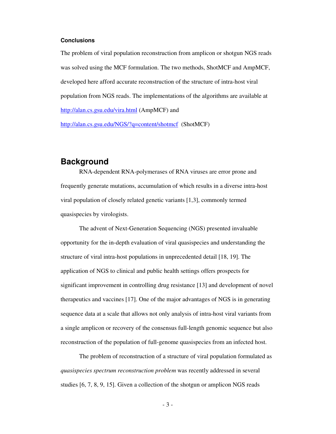#### **Conclusions**

The problem of viral population reconstruction from amplicon or shotgun NGS reads was solved using the MCF formulation. The two methods, ShotMCF and AmpMCF, developed here afford accurate reconstruction of the structure of intra-host viral population from NGS reads. The implementations of the algorithms are available at http://alan.cs.gsu.edu/vira.html (AmpMCF) and

http://alan.cs.gsu.edu/NGS/?q=content/shotmcf (ShotMCF)

### **Background**

RNA-dependent RNA-polymerases of RNA viruses are error prone and frequently generate mutations, accumulation of which results in a diverse intra-host viral population of closely related genetic variants [1,3], commonly termed quasispecies by virologists.

The advent of Next-Generation Sequencing (NGS) presented invaluable opportunity for the in-depth evaluation of viral quasispecies and understanding the structure of viral intra-host populations in unprecedented detail [18, 19]. The application of NGS to clinical and public health settings offers prospects for significant improvement in controlling drug resistance [13] and development of novel therapeutics and vaccines [17]. One of the major advantages of NGS is in generating sequence data at a scale that allows not only analysis of intra-host viral variants from a single amplicon or recovery of the consensus full-length genomic sequence but also reconstruction of the population of full-genome quasispecies from an infected host.

The problem of reconstruction of a structure of viral population formulated as *quasispecies spectrum reconstruction problem* was recently addressed in several studies [6, 7, 8, 9, 15]. Given a collection of the shotgun or amplicon NGS reads

 $-3-$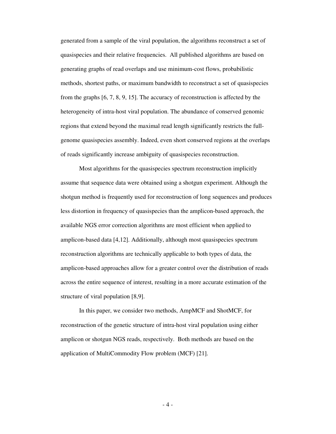generated from a sample of the viral population, the algorithms reconstruct a set of quasispecies and their relative frequencies. All published algorithms are based on generating graphs of read overlaps and use minimum-cost flows, probabilistic methods, shortest paths, or maximum bandwidth to reconstruct a set of quasispecies from the graphs [6, 7, 8, 9, 15]. The accuracy of reconstruction is affected by the heterogeneity of intra-host viral population. The abundance of conserved genomic regions that extend beyond the maximal read length significantly restricts the fullgenome quasispecies assembly. Indeed, even short conserved regions at the overlaps of reads significantly increase ambiguity of quasispecies reconstruction.

Most algorithms for the quasispecies spectrum reconstruction implicitly assume that sequence data were obtained using a shotgun experiment. Although the shotgun method is frequently used for reconstruction of long sequences and produces less distortion in frequency of quasispecies than the amplicon-based approach, the available NGS error correction algorithms are most efficient when applied to amplicon-based data [4,12]. Additionally, although most quasispecies spectrum reconstruction algorithms are technically applicable to both types of data, the amplicon-based approaches allow for a greater control over the distribution of reads across the entire sequence of interest, resulting in a more accurate estimation of the structure of viral population [8,9].

In this paper, we consider two methods, AmpMCF and ShotMCF, for reconstruction of the genetic structure of intra-host viral population using either amplicon or shotgun NGS reads, respectively. Both methods are based on the application of MultiCommodity Flow problem (MCF) [21].

 $-4-$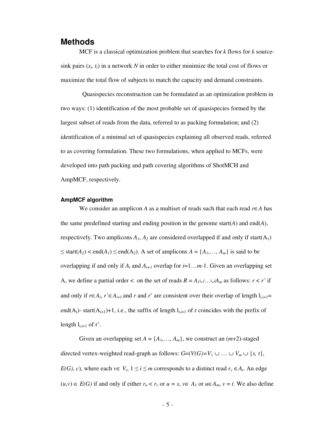### **Methods**

MCF is a classical optimization problem that searches for *k* flows for *k* sourcesink pairs  $(s_i, t_i)$  in a network N in order to either minimize the total cost of flows or maximize the total flow of subjects to match the capacity and demand constraints.

 Quasispecies reconstruction can be formulated as an optimization problem in two ways: (1) identification of the most probable set of quasispecies formed by the largest subset of reads from the data, referred to as packing formulation; and (2) identification of a minimal set of quasispecies explaining all observed reads, referred to as covering formulation. These two formulations, when applied to MCFs, were developed into path packing and path covering algorithms of ShotMCH and AmpMCF, respectively.

#### **AmpMCF algorithm**

 We consider an amplicon *A* as a multiset of reads such that each read *r*∈*A* has the same predefined starting and ending position in the genome start $(A)$  and end $(A)$ , respectively. Two amplicons  $A_1$ ,  $A_2$  are considered overlapped if and only if start( $A_1$ ) ≤ start( $A_2$ ) < end( $A_1$ ) ≤ end( $A_2$ ). A set of amplicons  $A = \{A_1, \ldots, A_m\}$  is said to be overlapping if and only if  $A_i$  and  $A_{i+1}$  overlap for  $i=1...m-1$ . Given an overlapping set A, we define a partial order < on the set of reads  $R = A_1 \cup ... \cup A_m$  as follows:  $r < r'$  if and only if  $r \in A_i$ ,  $r' \in A_{i+1}$  and  $r$  and  $r'$  are consistent over their overlap of length  $l_{i,i+1} =$ end(A<sub>i</sub>)- start(A<sub>i+1</sub>)+1, i.e., the suffix of length  $l_{i,i+1}$  of r coincides with the prefix of length  $l_{i,i+1}$  of r'.

Given an overlapping set  $A = \{A_1, \ldots, A_m\}$ , we construct an  $(m+2)$ -staged directed vertex-weighted read-graph as follows:  $G=(V(G)=V_1 \cup ... \cup V_m \cup \{s, t\},\)$ *E(G)*, *c)*, where each  $v \in V_i$ ,  $1 \le i \le m$  corresponds to a distinct read  $r_v \in A_i$ . An edge  $(u,v)$  ∈  $E(G)$  if and only if either  $r_u < r_v$  or  $u = s$ ,  $v ∈ A_1$  or  $u ∈ A_m$ ,  $v = t$ . We also define

 $-5 -$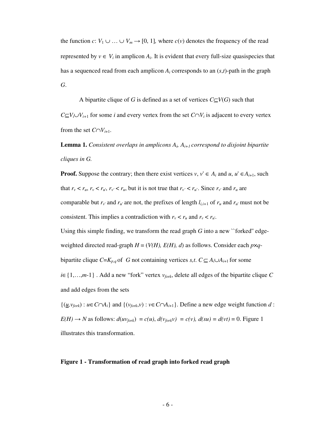the function *c*:  $V_1 \cup ... \cup V_m \rightarrow [0, 1]$ , where *c*(*v*) denotes the frequency of the read represented by  $v \in V_i$  in amplicon  $A_i$ . It is evident that every full-size quasispecies that has a sequenced read from each amplicon  $A_i$  corresponds to an  $(s,t)$ -path in the graph *G*.

A bipartite clique of *G* is defined as a set of vertices  $C \subseteq V(G)$  such that

*C*⊆*V*<sup>*i*</sup>∪*V*<sup>*i*</sup>+1 for some *i* and every vertex from the set *C*∩*V*<sup>*i*</sup> is adjacent to every vertex from the set  $C \cap V_{i+1}$ .

**Lemma 1.** *Consistent overlaps in amplicons*  $A_i$ ,  $A_{i+1}$  *correspond to disjoint bipartite cliques in G.* 

**Proof.** Suppose the contrary; then there exist vertices  $v, v' \in A_i$  and  $u, u' \in A_{i+1}$ , such that  $r_v < r_u$ ,  $r_v < r_u$ ,  $r_{v'} < r_u$ , but it is not true that  $r_{v'} < r_u$ . Since  $r_{v'}$  and  $r_u$  are comparable but  $r_v$  and  $r_u$  are not, the prefixes of length  $l_{i,i+1}$  of  $r_u$  and  $r_u$  must not be consistent. This implies a contradiction with  $r_v < r_u$  and  $r_v < r_{u'}$ .

Using this simple finding, we transform the read graph  $G$  into a new "forked" edgeweighted directed read-graph  $H = (V(H), E(H), d)$  as follows. Consider each  $p \times q$ -

bipartite clique  $C=K_{p,q}$  of *G* not containing vertices *s,t.*  $C \subseteq A_i \cup A_{i+1}$  for some

*i*∈{1,…,*m*-1} . Add a new "fork" vertex *vfork*, delete all edges of the bipartite clique *C* and add edges from the sets

 $\{(\underline{u},v_{fork}): u \in C \cap A_i\}$  and  $\{(v_{fork},v): v \in C \cap A_{i+1}\}$ . Define a new edge weight function *d* :  $E(H) \rightarrow N$  as follows:  $d(uv_{fork}) = c(u)$ ,  $d(v_{fork}v) = c(v)$ ,  $d(su) = d(vt) = 0$ . Figure 1 illustrates this transformation.

#### **Figure 1 - Transformation of read graph into forked read graph**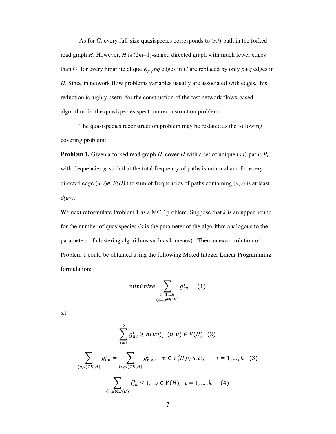As for *G,* every full-size quasispecies corresponds to (*s,t*)-path in the forked read graph *H*. However, *H* is (2*m*+1)-staged directed graph with much fewer edges than *G*: for every bipartite clique  $K_{p,q}$  *pq* edges in *G* are replaced by only  $p+q$  edges in *H*. Since in network flow problems variables usually are associated with edges, this reduction is highly useful for the construction of the fast network flows-based algorithm for the quasispecies spectrum reconstruction problem.

The quasispecies reconstruction problem may be restated as the following covering problem:

**Problem 1.** Given a forked read graph *H*, cover *H* with a set of unique  $(s,t)$ -paths  $P_i$ with frequencies  $g_i$  such that the total frequency of paths is minimal and for every directed edge  $(u, v) \in E(H)$  the sum of frequencies of paths containing  $(u, v)$  is at least *d(uv)*.

We next reformulate Problem 1 as a MCF problem. Suppose that *k* is an upper bound for the number of quasispecies (k is the parameter of the algorithm analogous to the parameters of clustering algorithms such as k-means). Then an exact solution of Problem 1 could be obtained using the following Mixed Integer Linear Programming formulation:

$$
minimize \sum_{\substack{i=1,\dots k \\ (s,u)\in E(H)}} g_{su}^i \qquad (1)
$$

s.t.

$$
\sum_{i=1}^{k} g_{uv}^{i} \ge d(uv), \ (u, v) \in E(H) \ (2)
$$
\n
$$
\sum_{(u,v)\in E(H)} g_{uv}^{i} = \sum_{(v,w)\in E(H)} g_{vw}^{i}, \ v \in V(H)\setminus\{s,t\}, \quad i = 1, ..., k \ (3)
$$
\n
$$
\sum_{(v,u)\in E(H)} f_{vu}^{i} \le 1, \ v \in V(H), \ i = 1, ..., k \ (4)
$$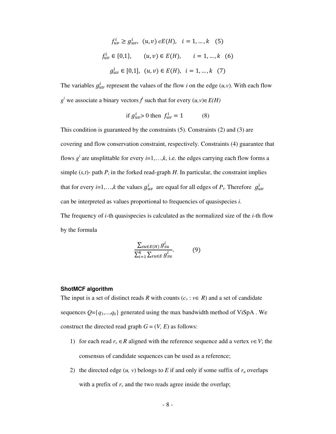$$
f_{uv}^i \ge g_{uv}^i, \ (u, v) \in E(H), \ i = 1, \dots, k \quad (5)
$$
  

$$
f_{uv}^i \in \{0, 1\}, \quad (u, v) \in E(H), \quad i = 1, \dots, k \quad (6)
$$
  

$$
g_{uv}^i \in [0, 1], \ (u, v) \in E(H), \ i = 1, \dots, k \quad (7)
$$

The variables  $g_{uv}^i$  represent the values of the flow *i* on the edge  $(u, v)$ . With each flow *g*<sup>*i*</sup> we associate a binary vectors  $f^i$  such that for every  $(u, v) \in E(H)$ 

if 
$$
g_{uv}^i > 0
$$
 then  $f_{uv}^i = 1$  (8)

This condition is guaranteed by the constraints (5). Constraints (2) and (3) are covering and flow conservation constraint, respectively. Constraints (4) guarantee that flows  $g^i$  are unsplittable for every  $i=1,\ldots,k$ , i.e. the edges carrying each flow forms a simple  $(s,t)$ - path  $P_i$  in the forked read-graph  $H$ . In particular, the constraint implies that for every *i*=1,...,*k* the values  $g_{uv}^i$  are equal for all edges of  $P_i$ . Therefore  $g_{uv}^i$ can be interpreted as values proportional to frequencies of quasispecies *i*. The frequency of *i-*th quasispecies is calculated as the normalized size of the *i*-th flow by the formula

$$
\frac{\sum_{su \in E(H)} g_{su}^i}{\sum_{i=1}^k \sum_{su \in E} g_{su}^i}.
$$
 (9)

#### **ShotMCF algorithm**

The input is a set of distinct reads *R* with counts ( $c_v : v \in R$ ) and a set of candidate sequences  $Q = \{q_1, \ldots, q_k\}$  generated using the max bandwidth method of ViSpA. We construct the directed read graph  $G = (V, E)$  as follows:

- 1) for each read  $r_v \in R$  aligned with the reference sequence add a vertex  $v \in V$ ; the consensus of candidate sequences can be used as a reference;
- 2) the directed edge  $(u, v)$  belongs to *E* if and only if some suffix of  $r_u$  overlaps with a prefix of  $r<sub>v</sub>$  and the two reads agree inside the overlap;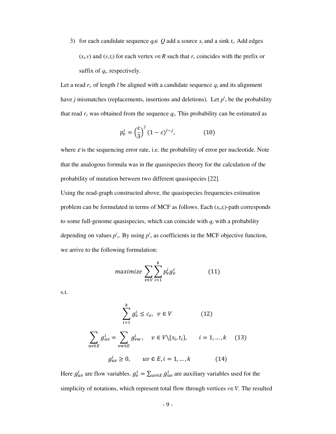3) for each candidate sequence  $q_i \in Q$  add a source  $s_i$  and a sink  $t_i$ . Add edges  $(s_i, v)$  and  $(v, t_i)$  for each vertex  $v \in R$  such that  $r_v$  coincides with the prefix or suffix of  $q_i$ , respectively.

Let a read  $r_v$  of length *l* be aligned with a candidate sequence  $q_i$  and its alignment have *j* mismatches (replacements, insertions and deletions). Let  $p^i$  be the probability that read  $r_v$  was obtained from the sequence  $q_i$ . This probability can be estimated as

$$
p_v^i = \left(\frac{\varepsilon}{3}\right)^j (1 - \varepsilon)^{l - j},\tag{10}
$$

where  $\varepsilon$  is the sequencing error rate, i.e. the probability of error per nucleotide. Note that the analogous formula was in the quasispecies theory for the calculation of the probability of mutation between two different quasispecies [22].

Using the read-graph constructed above, the quasispecies frequencies estimation problem can be formulated in terms of MCF as follows. Each (*s<sup>i</sup>* ,*ti*)-path corresponds to some full-genome quasispecies, which can coincide with  $q_i$  with a probability depending on values  $p^i$ <sub>v</sub>. By using  $p^i$ <sub>v</sub> as coefficients in the MCF objective function, we arrive to the following formulation:

$$
maximize \sum_{v \in V} \sum_{i=1}^{k} p_v^i g_v^i \tag{11}
$$

s.t.

$$
\sum_{i=1}^{k} g_v^i \le c_v, \quad v \in V \tag{12}
$$
\n
$$
\sum_{uv \in E} g_{uv}^i = \sum_{vw \in E} g_{vw}^i, \quad v \in V \setminus \{s_i, t_i\}, \quad i = 1, ..., k \tag{13}
$$
\n
$$
g_{uv}^i \ge 0, \quad uv \in E, i = 1, ..., k \tag{14}
$$

Here  $g_{uv}^i$  are flow variables.  $g_v^i = \sum_{uv \in E} g_{uv}^i$  are auxiliary variables used for the simplicity of notations, which represent total flow through vertices  $v \in V$ . The resulted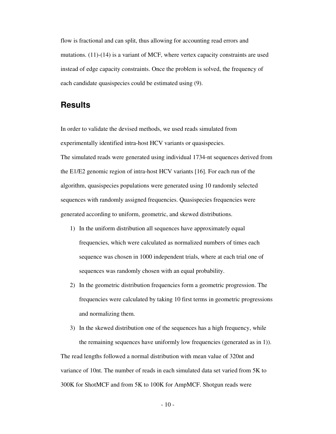flow is fractional and can split, thus allowing for accounting read errors and mutations. (11)-(14) is a variant of MCF, where vertex capacity constraints are used instead of edge capacity constraints. Once the problem is solved, the frequency of each candidate quasispecies could be estimated using (9).

### **Results**

In order to validate the devised methods, we used reads simulated from experimentally identified intra-host HCV variants or quasispecies. The simulated reads were generated using individual 1734-nt sequences derived from the E1/E2 genomic region of intra-host HCV variants [16]. For each run of the algorithm, quasispecies populations were generated using 10 randomly selected sequences with randomly assigned frequencies. Quasispecies frequencies were generated according to uniform, geometric, and skewed distributions.

- 1) In the uniform distribution all sequences have approximately equal frequencies, which were calculated as normalized numbers of times each sequence was chosen in 1000 independent trials, where at each trial one of sequences was randomly chosen with an equal probability.
- 2) In the geometric distribution frequencies form a geometric progression. The frequencies were calculated by taking 10 first terms in geometric progressions and normalizing them.
- 3) In the skewed distribution one of the sequences has a high frequency, while the remaining sequences have uniformly low frequencies (generated as in 1)).

The read lengths followed a normal distribution with mean value of 320nt and variance of 10nt. The number of reads in each simulated data set varied from 5K to 300K for ShotMCF and from 5K to 100K for AmpMCF. Shotgun reads were

 $-10-$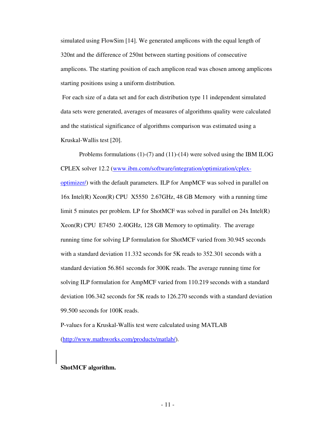simulated using FlowSim [14]. We generated amplicons with the equal length of 320nt and the difference of 250nt between starting positions of consecutive amplicons. The starting position of each amplicon read was chosen among amplicons starting positions using a uniform distribution.

 For each size of a data set and for each distribution type 11 independent simulated data sets were generated, averages of measures of algorithms quality were calculated and the statistical significance of algorithms comparison was estimated using a Kruskal-Wallis test [20].

 Problems formulations (1)-(7) and (11)-(14) were solved using the IBM ILOG CPLEX solver 12.2 (www.ibm.com/software/integration/optimization/cplexoptimizer/) with the default parameters. ILP for AmpMCF was solved in parallel on 16x Intel(R) Xeon(R) CPU X5550 2.67GHz, 48 GB Memory with a running time limit 5 minutes per problem. LP for ShotMCF was solved in parallel on  $24x$  Intel(R) Xeon(R) CPU E7450 2.40GHz, 128 GB Memory to optimality. The average running time for solving LP formulation for ShotMCF varied from 30.945 seconds with a standard deviation 11.332 seconds for 5K reads to 352.301 seconds with a standard deviation 56.861 seconds for 300K reads. The average running time for solving ILP formulation for AmpMCF varied from 110.219 seconds with a standard deviation 106.342 seconds for 5K reads to 126.270 seconds with a standard deviation 99.500 seconds for 100K reads.

P-values for a Kruskal-Wallis test were calculated using MATLAB (http://www.mathworks.com/products/matlab/).

#### **ShotMCF algorithm.**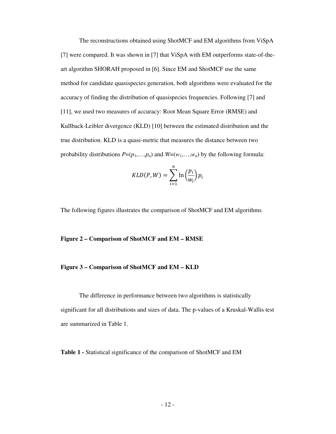The reconstructions obtained using ShotMCF and EM algorithms from ViSpA [7] were compared. It was shown in [7] that ViSpA with EM outperforms state-of-theart algorithm SHORAH proposed in [6]. Since EM and ShotMCF use the same method for candidate quasispecies generation, both algorithms were evaluated for the accuracy of finding the distribution of quasispecies frequencies. Following [7] and [11], we used two measures of accuracy: Root Mean Square Error (RMSE) and Kullback-Leibler divergence (KLD) [10] between the estimated distribution and the true distribution. KLD is a quasi-metric that measures the distance between two probability distributions  $P=(p_1,...,p_n)$  and  $W=(w_1,...,w_n)$  by the following formula:

$$
KLD(P, W) = \sum_{i=1}^{n} \ln\left(\frac{p_i}{w_i}\right) p_i
$$

The following figures illustrates the comparison of ShotMCF and EM algorithms

#### **Figure 2 – Comparison of ShotMCF and EM – RMSE**

#### **Figure 3 – Comparison of ShotMCF and EM – KLD**

The difference in performance between two algorithms is statistically significant for all distributions and sizes of data. The p-values of a Kruskal-Wallis test are summarized in Table 1.

**Table 1 -** Statistical significance of the comparison of ShotMCF and EM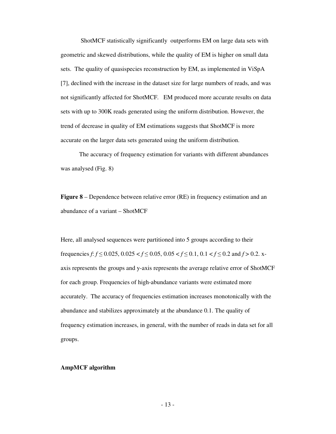ShotMCF statistically significantly outperforms EM on large data sets with geometric and skewed distributions, while the quality of EM is higher on small data sets. The quality of quasispecies reconstruction by EM, as implemented in ViSpA [7], declined with the increase in the dataset size for large numbers of reads, and was not significantly affected for ShotMCF. EM produced more accurate results on data sets with up to 300K reads generated using the uniform distribution. However, the trend of decrease in quality of EM estimations suggests that ShotMCF is more accurate on the larger data sets generated using the uniform distribution.

The accuracy of frequency estimation for variants with different abundances was analysed (Fig. 8)

**Figure 8** – Dependence between relative error (RE) in frequency estimation and an abundance of a variant – ShotMCF

Here, all analysed sequences were partitioned into 5 groups according to their frequencies *f*:  $f \le 0.025$ ,  $0.025 < f \le 0.05$ ,  $0.05 < f \le 0.1$ ,  $0.1 < f \le 0.2$  and  $f > 0.2$ . xaxis represents the groups and y-axis represents the average relative error of ShotMCF for each group. Frequencies of high-abundance variants were estimated more accurately. The accuracy of frequencies estimation increases monotonically with the abundance and stabilizes approximately at the abundance 0.1. The quality of frequency estimation increases, in general, with the number of reads in data set for all groups.

#### **AmpMCF algorithm**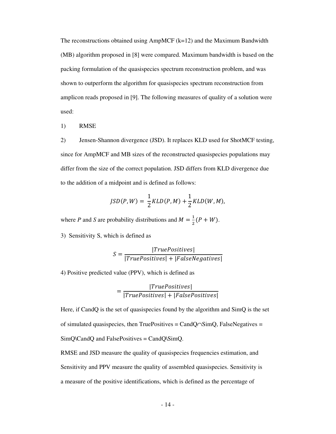The reconstructions obtained using  $AmpMCF$  ( $k=12$ ) and the Maximum Bandwidth (MB) algorithm proposed in [8] were compared. Maximum bandwidth is based on the packing formulation of the quasispecies spectrum reconstruction problem, and was shown to outperform the algorithm for quasispecies spectrum reconstruction from amplicon reads proposed in [9]. The following measures of quality of a solution were used:

1) RMSE

2) Jensen-Shannon divergence (JSD). It replaces KLD used for ShotMCF testing, since for AmpMCF and MB sizes of the reconstructed quasispecies populations may differ from the size of the correct population. JSD differs from KLD divergence due to the addition of a midpoint and is defined as follows:

$$
JSD(P,W) = \frac{1}{2}KLD(P,M) + \frac{1}{2}KLD(W,M),
$$

where *P* and *S* are probability distributions and  $M = \frac{1}{2}(P + W)$ .

3) Sensitivity S, which is defined as

$$
S = \frac{|TruePositives|}{|TruePositives| + |FalseNegatives|}
$$

4) Positive predicted value (PPV), which is defined as

$$
= \frac{|TruePositives|}{|TruePositives| + |FalsePositives|}
$$

Here, if CandQ is the set of quasispecies found by the algorithm and SimQ is the set of simulated quasispecies, then TruePositives = CandQ∩SimQ, FalseNegatives = SimQ\CandQ and FalsePositives = CandQ\SimQ.

RMSE and JSD measure the quality of quasispecies frequencies estimation, and Sensitivity and PPV measure the quality of assembled quasispecies. Sensitivity is a measure of the positive identifications, which is defined as the percentage of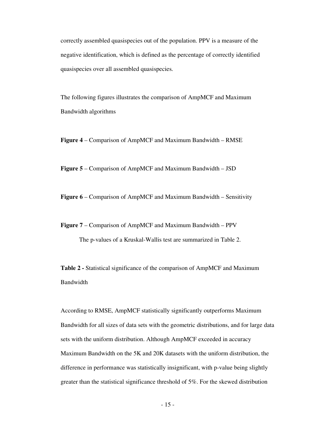correctly assembled quasispecies out of the population. PPV is a measure of the negative identification, which is defined as the percentage of correctly identified quasispecies over all assembled quasispecies.

The following figures illustrates the comparison of AmpMCF and Maximum Bandwidth algorithms

**Figure 4** – Comparison of AmpMCF and Maximum Bandwidth – RMSE

**Figure 5** – Comparison of AmpMCF and Maximum Bandwidth – JSD

**Figure 6** – Comparison of AmpMCF and Maximum Bandwidth – Sensitivity

**Figure 7** – Comparison of AmpMCF and Maximum Bandwidth – PPV

The p-values of a Kruskal-Wallis test are summarized in Table 2.

**Table 2 -** Statistical significance of the comparison of AmpMCF and Maximum Bandwidth

According to RMSE, AmpMCF statistically significantly outperforms Maximum Bandwidth for all sizes of data sets with the geometric distributions, and for large data sets with the uniform distribution. Although AmpMCF exceeded in accuracy Maximum Bandwidth on the 5K and 20K datasets with the uniform distribution, the difference in performance was statistically insignificant, with p-value being slightly greater than the statistical significance threshold of 5%. For the skewed distribution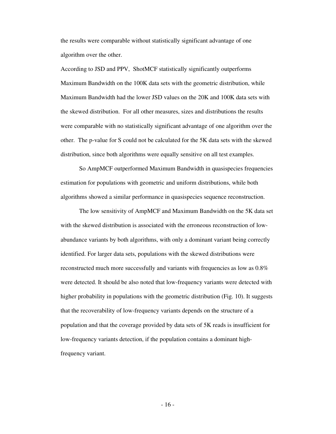the results were comparable without statistically significant advantage of one algorithm over the other.

According to JSD and PPV, ShotMCF statistically significantly outperforms Maximum Bandwidth on the 100K data sets with the geometric distribution, while Maximum Bandwidth had the lower JSD values on the 20K and 100K data sets with the skewed distribution. For all other measures, sizes and distributions the results were comparable with no statistically significant advantage of one algorithm over the other. The p-value for S could not be calculated for the 5K data sets with the skewed distribution, since both algorithms were equally sensitive on all test examples.

So AmpMCF outperformed Maximum Bandwidth in quasispecies frequencies estimation for populations with geometric and uniform distributions, while both algorithms showed a similar performance in quasispecies sequence reconstruction.

The low sensitivity of AmpMCF and Maximum Bandwidth on the 5K data set with the skewed distribution is associated with the erroneous reconstruction of lowabundance variants by both algorithms, with only a dominant variant being correctly identified. For larger data sets, populations with the skewed distributions were reconstructed much more successfully and variants with frequencies as low as 0.8% were detected. It should be also noted that low-frequency variants were detected with higher probability in populations with the geometric distribution (Fig. 10). It suggests that the recoverability of low-frequency variants depends on the structure of a population and that the coverage provided by data sets of 5K reads is insufficient for low-frequency variants detection, if the population contains a dominant highfrequency variant.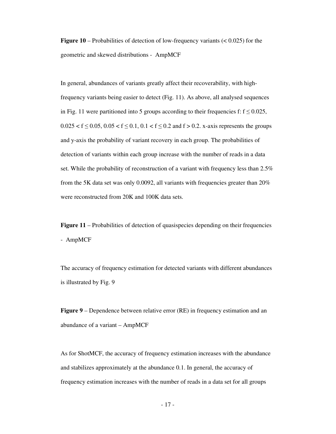**Figure 10** – Probabilities of detection of low-frequency variants (< 0.025) for the geometric and skewed distributions - AmpMCF

In general, abundances of variants greatly affect their recoverability, with highfrequency variants being easier to detect (Fig. 11). As above, all analysed sequences in Fig. 11 were partitioned into 5 groups according to their frequencies f:  $f \le 0.025$ ,  $0.025 < f \leq 0.05$ ,  $0.05 < f \leq 0.1$ ,  $0.1 < f \leq 0.2$  and  $f > 0.2$ . x-axis represents the groups and y-axis the probability of variant recovery in each group. The probabilities of detection of variants within each group increase with the number of reads in a data set. While the probability of reconstruction of a variant with frequency less than 2.5% from the 5K data set was only 0.0092, all variants with frequencies greater than 20% were reconstructed from 20K and 100K data sets.

**Figure 11** – Probabilities of detection of quasispecies depending on their frequencies - AmpMCF

The accuracy of frequency estimation for detected variants with different abundances is illustrated by Fig. 9

**Figure 9** – Dependence between relative error (RE) in frequency estimation and an abundance of a variant – AmpMCF

As for ShotMCF, the accuracy of frequency estimation increases with the abundance and stabilizes approximately at the abundance 0.1. In general, the accuracy of frequency estimation increases with the number of reads in a data set for all groups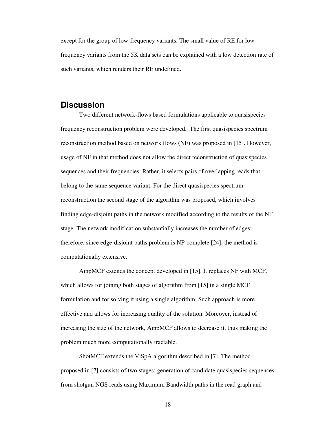except for the group of low-frequency variants. The small value of RE for lowfrequency variants from the 5K data sets can be explained with a low detection rate of such variants, which renders their RE undefined.

### **Discussion**

Two different network-flows based formulations applicable to quasispecies frequency reconstruction problem were developed. The first quasispecies spectrum reconstruction method based on network flows (NF) was proposed in [15]. However, usage of NF in that method does not allow the direct reconstruction of quasispecies sequences and their frequencies. Rather, it selects pairs of overlapping reads that belong to the same sequence variant. For the direct quasispecies spectrum reconstruction the second stage of the algorithm was proposed, which involves finding edge-disjoint paths in the network modified according to the results of the NF stage. The network modification substantially increases the number of edges; therefore, since edge-disjoint paths problem is NP-complete [24], the method is computationally extensive.

AmpMCF extends the concept developed in [15]. It replaces NF with MCF, which allows for joining both stages of algorithm from [15] in a single MCF formulation and for solving it using a single algorithm. Such approach is more effective and allows for increasing quality of the solution. Moreover, instead of increasing the size of the network, AmpMCF allows to decrease it, thus making the problem much more computationally tractable.

ShotMCF extends the ViSpA algorithm described in [7]. The method proposed in [7] consists of two stages: generation of candidate quasispecies sequences from shotgun NGS reads using Maximum Bandwidth paths in the read graph and

 $-18$  -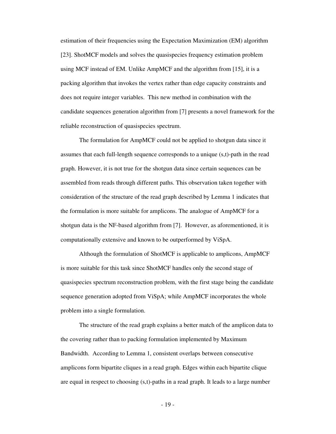estimation of their frequencies using the Expectation Maximization (EM) algorithm [23]. ShotMCF models and solves the quasispecies frequency estimation problem using MCF instead of EM. Unlike AmpMCF and the algorithm from [15], it is a packing algorithm that invokes the vertex rather than edge capacity constraints and does not require integer variables. This new method in combination with the candidate sequences generation algorithm from [7] presents a novel framework for the reliable reconstruction of quasispecies spectrum.

The formulation for AmpMCF could not be applied to shotgun data since it assumes that each full-length sequence corresponds to a unique (s,t)-path in the read graph. However, it is not true for the shotgun data since certain sequences can be assembled from reads through different paths. This observation taken together with consideration of the structure of the read graph described by Lemma 1 indicates that the formulation is more suitable for amplicons. The analogue of AmpMCF for a shotgun data is the NF-based algorithm from [7]. However, as aforementioned, it is computationally extensive and known to be outperformed by ViSpA.

Although the formulation of ShotMCF is applicable to amplicons, AmpMCF is more suitable for this task since ShotMCF handles only the second stage of quasispecies spectrum reconstruction problem, with the first stage being the candidate sequence generation adopted from ViSpA; while AmpMCF incorporates the whole problem into a single formulation.

The structure of the read graph explains a better match of the amplicon data to the covering rather than to packing formulation implemented by Maximum Bandwidth. According to Lemma 1, consistent overlaps between consecutive amplicons form bipartite cliques in a read graph. Edges within each bipartite clique are equal in respect to choosing (s,t)-paths in a read graph. It leads to a large number

- 19 -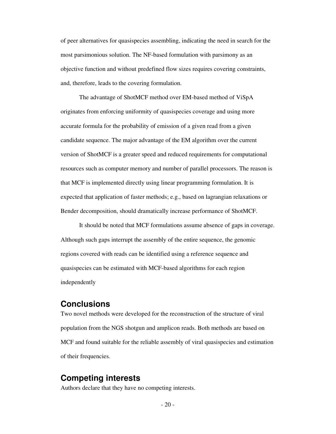of peer alternatives for quasispecies assembling, indicating the need in search for the most parsimonious solution. The NF-based formulation with parsimony as an objective function and without predefined flow sizes requires covering constraints, and, therefore, leads to the covering formulation.

The advantage of ShotMCF method over EM-based method of ViSpA originates from enforcing uniformity of quasispecies coverage and using more accurate formula for the probability of emission of a given read from a given candidate sequence. The major advantage of the EM algorithm over the current version of ShotMCF is a greater speed and reduced requirements for computational resources such as computer memory and number of parallel processors. The reason is that MCF is implemented directly using linear programming formulation. It is expected that application of faster methods; e.g., based on lagrangian relaxations or Bender decomposition, should dramatically increase performance of ShotMCF.

It should be noted that MCF formulations assume absence of gaps in coverage. Although such gaps interrupt the assembly of the entire sequence, the genomic regions covered with reads can be identified using a reference sequence and quasispecies can be estimated with MCF-based algorithms for each region independently

### **Conclusions**

Two novel methods were developed for the reconstruction of the structure of viral population from the NGS shotgun and amplicon reads. Both methods are based on MCF and found suitable for the reliable assembly of viral quasispecies and estimation of their frequencies.

### **Competing interests**

Authors declare that they have no competing interests.

 $-20-$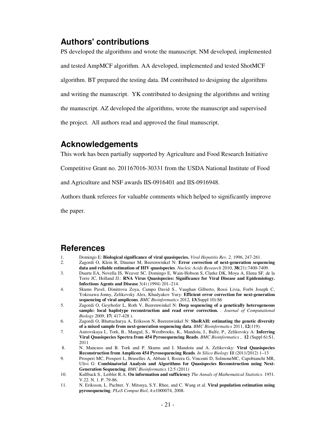### **Authors' contributions**

PS developed the algorithms and wrote the manuscript. NM developed, implemented and tested AmpMCF algorithm. AA developed, implemented and tested ShotMCF algorithm. BT prepared the testing data. IM contributed to designing the algorithms and writing the manuscript. YK contributed to designing the algorithms and writing the manuscript. AZ developed the algorithms, wrote the manuscript and supervised the project. All authors read and approved the final manuscript.

### **Acknowledgements**

This work has been partially supported by Agriculture and Food Research Initiative

Competitive Grant no. 201167016-30331 from the USDA National Institute of Food

and Agriculture and NSF awards IIS-0916401 and IIS-0916948.

Authors thank referees for valuable comments which helped to significantly improve

the paper.

### **References**

- 1. Domingo E: **Biological significance of viral quasispecies.** *Viral Hepatitis Rev. 2,* 1996, 247-261.
- 2. Zagordi O, Klein R, Däumer M, Beerenwinkel N: **Error correction of next-generation sequencing data and reliable estimation of HIV quasispecies**. *Nucleic Acids Research* 2010, **38**(21):7400-7409.
- 3. Duarte EA, Novella IS, Weaver SC, Domingo E, Wain-Hobson S, Clarke DK, Moya A, Elena SF, de la Torre JC, Holland JJ.: **RNA Virus Quasispecies: Significance for Viral Disease and Epidemiology. Infectious Agents and Disease** 3(4) (1994) 201–214.
- 4. Skums Pavel, Dimitrova Zoya, Campo David S., Vaughan Gilberto, Rossi Livia, Forbi Joseph C, Yokosawa Jonny, Zelikovsky Alex, Khudyakov Yury: **Efficient error correction for next-generation sequencing of viral amplicons**. *BMC Bioinformatics* 2012, **13**(Suppl 10):S6
- 5. Zagordi O, Geyrhofer L, Roth V, Beerenwinkel N: **Deep sequencing of a genetically heterogeneous sample: local haplotype reconstruction and read error correction.** . *Journal of Computational Biology* 2009, **17**( 417-428 ).
- 6. Zagordi O, Bhattacharya A, Eriksson N, Beerenwinkel N: **ShoRAH: estimating the genetic diversity of a mixed sample from next-generation sequencing data**. *BMC Bioinformatics* 2011, **12**(119).
- 7. Astrovskaya I., Tork, B., Mangul, S., Westbrooks, K., Mandoiu, I., Balfe, P., Zelikovsky A: **Inferring Viral Quasispecies Spectra from 454 Pyrosequencing Reads**. *BMC Bioinformatics* , **12** (Suppl 6):S1, 2011
- 8. N. Mancuso and B. Tork and P. Skums and I. Mandoiu and A. Zelikovsky: **Viral Quasispecies Reconstruction from Amplicon 454 Pyrosequencing Reads**. *In Silico Biology* **11** (2011/2012) 1–13
- 9. Prosperi MC, Prosperi L, Bruselles A, Abbate I, Rozera G, Vincenti D, SolmoneMC, Capobianchi MR, Ulivi G: **Combinatorial Analysis and Algorithms for Quasispecies Reconstruction using Next-Generation Sequencing**. *BMC Bioinformatics* 12:5 (2011)
- 10. Kullback S., Leibler R.A. **On information and sufficiency** *The Annals of Mathematical Statistics*. 1951. V.22. N. 1. P. 79-86.
- 11. N. Eriksson, L. Pachter, Y. Mitsuya, S.Y. Rhee, and C. Wang et al. **Viral population estimation using pyrosequencing**. *PLoS Comput Biol*, 4:e1000074, 2008.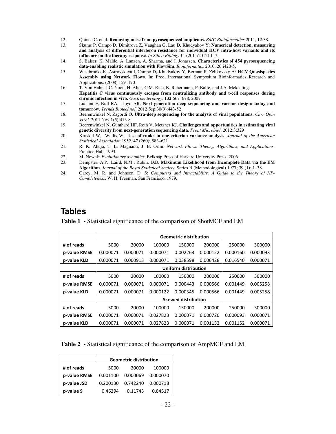- 12. Quince,C. et al. **Removing noise from pyrosequenced amplicons.** *BMC Bioinformatics* 2011, 12:38.
- 13. Skums P, Campo D, Dimitrova Z, Vaughan G, Lau D, Khudyakov Y: **Numerical detection, measuring and analysis of differential interferon resistance for individual HCV intra-host variants and its influence on the therapy response**. *In Silico Biology* 11 (2011/2012) 1–7.
- 14. S. Balser, K. Malde, A. Lanzen, A. Sharma, and I. Jonassen. **Characteristics of 454 pyrosequencing data-enabling realistic simulation with FlowSim**. *Bioinformatics* 2010, 26:i420-5.
- 15. Westbrooks K, Astrovskaya I, Campo D, Khudyakov Y, Berman P, Zelikovsky A: **HCV Quasispecies Assembly using Network Flows**. In: Proc. International Symposium Bioinformatics Research and Applications. (2008) 159–170
- 16. T. Von Hahn, J.C. Yoon, H. Alter, C.M. Rice, B. Rehermann, P. Balfe, and J.A. Mckeating. **Hepatitis** С **virus continuously escapes from neutralizing antibody and t-cell responses during chronic infection in vivo.** *Gastroenterology*, **132**:667–678, 2007.
- 17. Luciani F, Bull RA, Lloyd AR. **Next generation deep sequencing and vaccine design: today and tomorrow.** *Trends Biotechnol*. 2012 Sep;30(9):443-52
- 18. Beerenwinkel N, Zagordi O. **Ultra-deep sequencing for the analysis of viral populations.** *Curr Opin Virol*. 2011 Nov;**1**(5):413-8.
- 19. Beerenwinkel N, Günthard HF, Roth V, Metzner KJ. **Challenges and opportunities in estimating viral genetic diversity from next-generation sequencing data**. *Front Microbiol*. 2012;3:329
- 20. Kruskal W, Wallis W. **Use of ranks in one-criterion variance analysis**, *Journal of the American Statistical Association* 1952, **47** (260): 583–621
- 21. R. K. Ahuja, T. L. Magnanti, J. B. Orlin: *Network Flows: Theory, Algorithms, and Applications.* Prentice Hall, 1993.
- 22. M. Nowak: *Evolutionary dynamics*, Belknap Press of Harvard University Press, 2006.<br>23. Dempster, A.P.: Laird. N.M.: Rubin. D.B. **Maximum Likelihood from Incomplete**
- 23. Dempster, A.P.; Laird, N.M.; Rubin, D.B. **Maximum Likelihood from Incomplete Data via the EM Algorithm**. *Journal of the Royal Statistical Society*. Series B (Methodological) 1977; 39 (1): 1–38.
- 24. Garey, M. R. and Johnson, D. S: *Computers and Intractability. A Guide to the Theory of NP-Completeness*. W. H. Freeman, San Francisco, 1979.

### **Tables**

**Table 1 -** Statistical significance of the comparison of ShotMCF and EM

|              | <b>Geometric distribution</b> |          |          |          |          |          |          |
|--------------|-------------------------------|----------|----------|----------|----------|----------|----------|
| # of reads   | 5000                          | 20000    | 100000   | 150000   | 200000   | 250000   | 300000   |
| p-value RMSE | 0.000071                      | 0.000071 | 0.000071 | 0.002263 | 0.000122 | 0.000160 | 0.000093 |
| p-value KLD  | 0.000071                      | 0.000913 | 0.000071 | 0.038598 | 0.006428 | 0.016540 | 0.000071 |
|              | <b>Uniform distribution</b>   |          |          |          |          |          |          |
| # of reads   | 5000                          | 20000    | 100000   | 150000   | 200000   | 250000   | 300000   |
| p-value RMSE | 0.000071                      | 0.000071 | 0.000071 | 0.000443 | 0.000566 | 0.001449 | 0.005258 |
| p-value KLD  | 0.000071                      | 0.000071 | 0.000122 | 0.000345 | 0.000566 | 0.001449 | 0.005258 |
|              | <b>Skewed distribution</b>    |          |          |          |          |          |          |
| # of reads   | 5000                          | 20000    | 100000   | 150000   | 200000   | 250000   | 300000   |
| p-value RMSE | 0.000071                      | 0.000071 | 0.027823 | 0.000071 | 0.000720 | 0.000093 | 0.000071 |
| p-value KLD  | 0.000071                      | 0.000071 | 0.027823 | 0.000071 | 0.001152 | 0.001152 | 0.000071 |

**Table 2 -** Statistical significance of the comparison of AmpMCF and EM

|              | <b>Geometric distribution</b> |          |          |  |  |  |
|--------------|-------------------------------|----------|----------|--|--|--|
| # of reads   | 5000                          | 20000    | 100000   |  |  |  |
| p-value RMSE | 0.001100                      | 0.000069 | 0.000070 |  |  |  |
| p-value JSD  | 0.200130                      | 0.742240 | 0.000718 |  |  |  |
| p-value S    | 0.46294                       | 0.11743  | 0.84517  |  |  |  |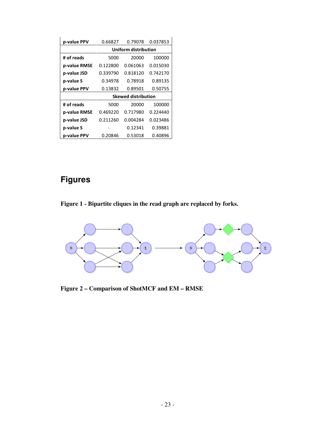| p-value PPV  | 0.66827                    | 0.79078  | 0.037853 |  |  |  |
|--------------|----------------------------|----------|----------|--|--|--|
|              | Uniform distribution       |          |          |  |  |  |
| # of reads   | 5000                       | 20000    | 100000   |  |  |  |
| p-value RMSE | 0.122800                   | 0.061063 | 0.015030 |  |  |  |
| p-value JSD  | 0.339790                   | 0.818120 | 0.742170 |  |  |  |
| p-value S    | 0.34978                    | 0.78918  | 0.89135  |  |  |  |
| p-value PPV  | 0.13832                    | 0.89501  | 0.50755  |  |  |  |
|              | <b>Skewed distribution</b> |          |          |  |  |  |
| # of reads   | 5000                       | 20000    | 100000   |  |  |  |
| p-value RMSE | 0.469220                   | 0.717980 | 0.224440 |  |  |  |
| p-value JSD  | 0.211260                   | 0.004284 | 0.023486 |  |  |  |
| p-value S    |                            | 0.12341  | 0.39881  |  |  |  |
| p-value PPV  | 0.20846                    | 0.53018  | 0.40896  |  |  |  |

# **Figures**





**Figure 2 – Comparison of ShotMCF and EM – RMSE**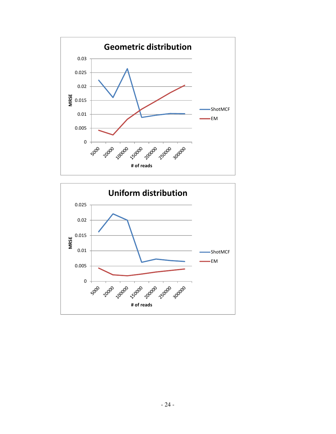

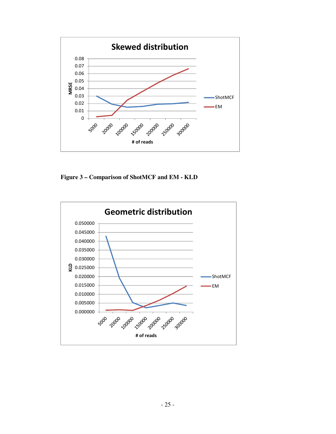

**Figure 3 – Comparison of ShotMCF and EM - KLD** 

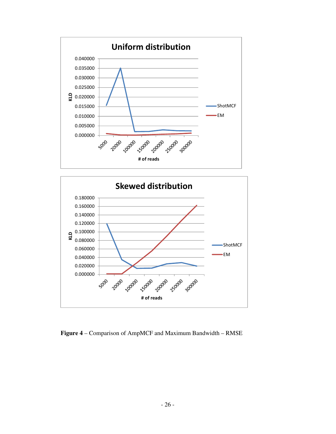



**Figure 4** – Comparison of AmpMCF and Maximum Bandwidth – RMSE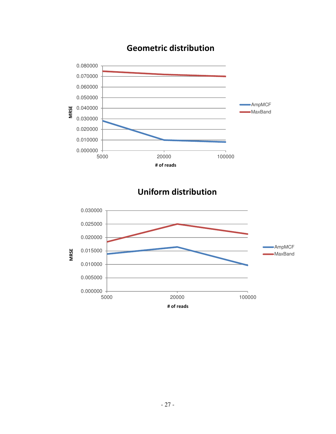

## Geometric distribution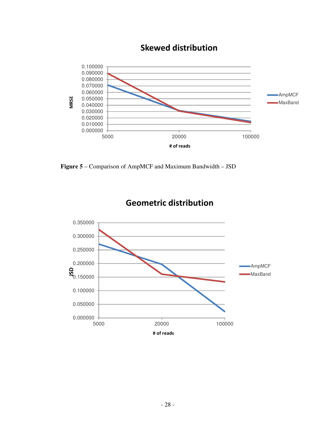

## Skewed distribution

**Figure 5** – Comparison of AmpMCF and Maximum Bandwidth – JSD



Geometric distribution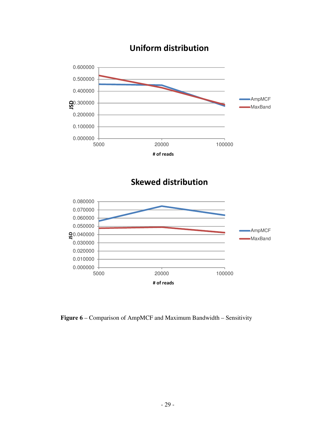

## Uniform distribution

Skewed distribution



**Figure 6** – Comparison of AmpMCF and Maximum Bandwidth – Sensitivity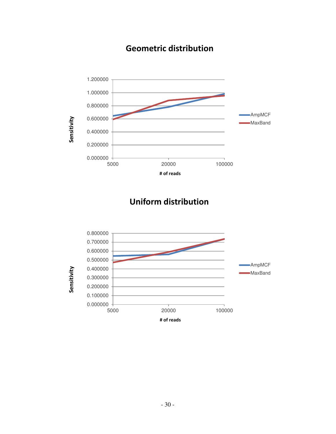

## Geometric distribution

## Uniform distribution

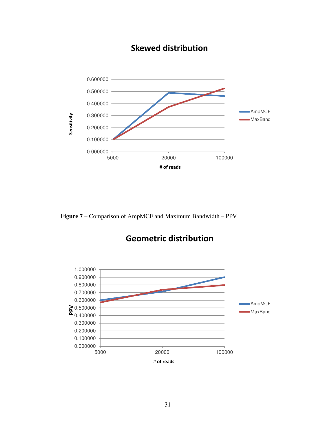

## Skewed distribution

**Figure 7** – Comparison of AmpMCF and Maximum Bandwidth – PPV

## Geometric distribution

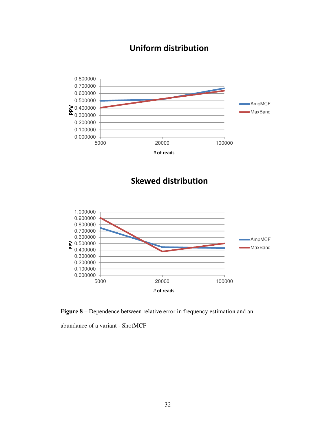## Uniform distribution



### Skewed distribution



**Figure 8** – Dependence between relative error in frequency estimation and an

abundance of a variant - ShotMCF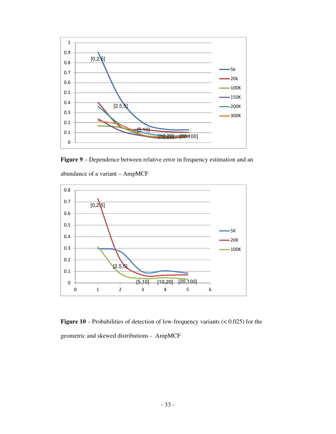

**Figure 9** – Dependence between relative error in frequency estimation and an



abundance of a variant – AmpMCF

**Figure 10** – Probabilities of detection of low-frequency variants (< 0.025) for the geometric and skewed distributions - AmpMCF